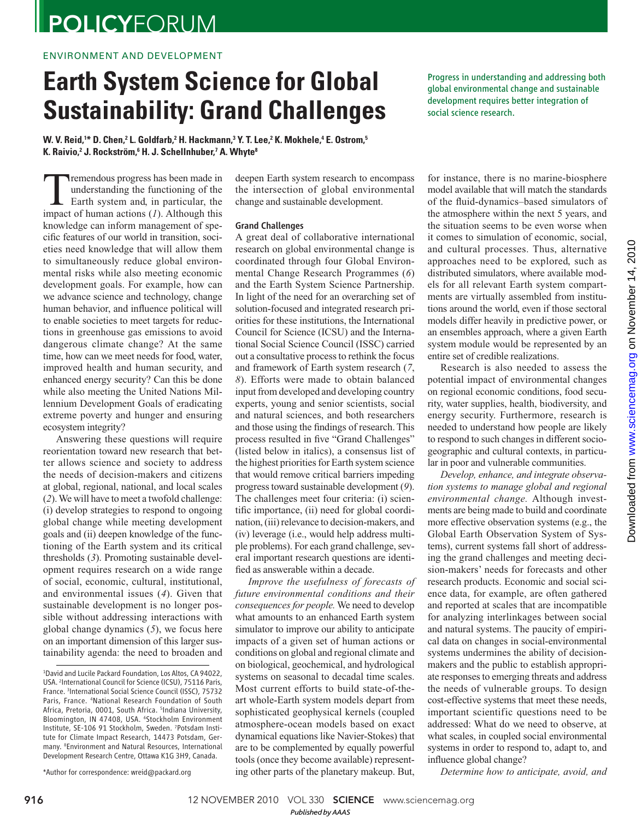## ENVIRONMENT AND DEVELOPMENT

# **Earth System Science for Global Sustainability: Grand Challenges**

**W. V. Reid,†\* D. Chen,** $^2$  **L. Goldfarb,** $^2$  **H. Hackmann,** $^3$  **Y. T. Lee,** $^2$  **K. Mokhele,** $^4$  **E. Ostrom,** $^5$ **K.** Raivio,<sup>2</sup> J. Rockström,<sup>6</sup> H. J. Schellnhuber,<sup>7</sup> A. Whyte<sup>8</sup>

Tremendous progress has been made in understanding the functioning of the Earth system and, in particular, the impact of human actions (1). Although this knowledge can inform management of specific features of our world in transition, societies need knowledge that will allow them to simultaneously reduce global environmental risks while also meeting economic development goals. For example, how can we advance science and technology, change human behavior, and influence political will to enable societies to meet targets for reductions in greenhouse gas emissions to avoid dangerous climate change? At the same time, how can we meet needs for food, water, improved health and human security, and enhanced energy security? Can this be done while also meeting the United Nations Millennium Development Goals of eradicating extreme poverty and hunger and ensuring ecosystem integrity?

Answering these questions will require reorientation toward new research that better allows science and society to address the needs of decision-makers and citizens at global, regional, national, and local scales ( *2*). We will have to meet a twofold challenge: (i) develop strategies to respond to ongoing global change while meeting development goals and (ii) deepen knowledge of the functioning of the Earth system and its critical thresholds (3). Promoting sustainable development requires research on a wide range of social, economic, cultural, institutional, and environmental issues (4). Given that sustainable development is no longer possible without addressing interactions with global change dynamics  $(5)$ , we focus here on an important dimension of this larger sustainability agenda: the need to broaden and

deepen Earth system research to encompass the intersection of global environmental change and sustainable development.

#### Grand Challenges

A great deal of collaborative international research on global environmental change is coordinated through four Global Environmental Change Research Programmes (6) and the Earth System Science Partnership. In light of the need for an overarching set of solution-focused and integrated research priorities for these institutions, the International Council for Science (ICSU) and the International Social Science Council (ISSC) carried out a consultative process to rethink the focus and framework of Earth system research ( *7*, *8*). Efforts were made to obtain balanced input from developed and developing country experts, young and senior scientists, social and natural sciences, and both researchers and those using the findings of research. This process resulted in five "Grand Challenges" (listed below in italics), a consensus list of the highest priorities for Earth system science that would remove critical barriers impeding progress toward sustainable development (9). The challenges meet four criteria: (i) scientific importance, (ii) need for global coordination, (iii) relevance to decision-makers, and (iv) leverage (i.e., would help address multiple problems). For each grand challenge, several important research questions are identified as answerable within a decade.

*Improve the usefulness of forecasts of future environmental conditions and their consequences for people.* We need to develop what amounts to an enhanced Earth system simulator to improve our ability to anticipate impacts of a given set of human actions or conditions on global and regional climate and on biological, geochemical, and hydrological systems on seasonal to decadal time scales. Most current efforts to build state-of-theart whole-Earth system models depart from sophisticated geophysical kernels (coupled atmosphere-ocean models based on exact dynamical equations like Navier-Stokes) that are to be complemented by equally powerful tools (once they become available) representing other parts of the planetary makeup. But,

for instance, there is no marine-biosphere model available that will match the standards of the fluid-dynamics–based simulators of the atmosphere within the next 5 years, and the situation seems to be even worse when it comes to simulation of economic, social, and cultural processes. Thus, alternative approaches need to be explored, such as distributed simulators, where available models for all relevant Earth system compartments are virtually assembled from institutions around the world, even if those sectoral

Progress in understanding and addressing both global environmental change and sustainable development requires better integration of

social science research.

entire set of credible realizations. Research is also needed to assess the potential impact of environmental changes on regional economic conditions, food security, water supplies, health, biodiversity, and energy security. Furthermore, research is needed to understand how people are likely to respond to such changes in different sociogeographic and cultural contexts, in particular in poor and vulnerable communities.

models differ heavily in predictive power, or an ensembles approach, where a given Earth system module would be represented by an

*Develop, enhance, and integrate observation systems to manage global and regional environmental change.* Although investments are being made to build and coordinate more effective observation systems (e.g., the Global Earth Observation System of Systems), current systems fall short of addressing the grand challenges and meeting decision-makers' needs for forecasts and other research products. Economic and social science data, for example, are often gathered and reported at scales that are incompatible for analyzing interlinkages between social and natural systems. The paucity of empirical data on changes in social-environmental systems undermines the ability of decisionmakers and the public to establish appropriate responses to emerging threats and address the needs of vulnerable groups. To design cost-effective systems that meet these needs, important scientific questions need to be addressed: What do we need to observe, at what scales, in coupled social environmental systems in order to respond to, adapt to, and influence global change?

*Determine how to anticipate, avoid, and* 

916 12 NOVEMBER 2010 VOL 330 SCIENCE www.sciencemag.org *Published byAAAS*

<sup>1</sup>David and Lucile Packard Foundation, Los Altos, CA 94022, USA. <sup>2</sup> International Council for Science (ICSU), 75116 Paris, France. <sup>3</sup> International Social Science Council (ISSC), 75732 Paris, France. <sup>4</sup>National Research Foundation of South Africa, Pretoria, 0001, South Africa. <sup>5</sup> Indiana University, Bloomington, IN 47408, USA. <sup>6</sup>Stockholm Environment Institute, SE-106 91 Stockholm, Sweden. 7Potsdam Institute for Climate Impact Research, 14473 Potsdam, Germany. <sup>8</sup>Environment and Natural Resources, International Development Research Centre, Ottawa K1G 3H9, Canada.

<sup>\*</sup>Author for correspondence: wreid@packard.org